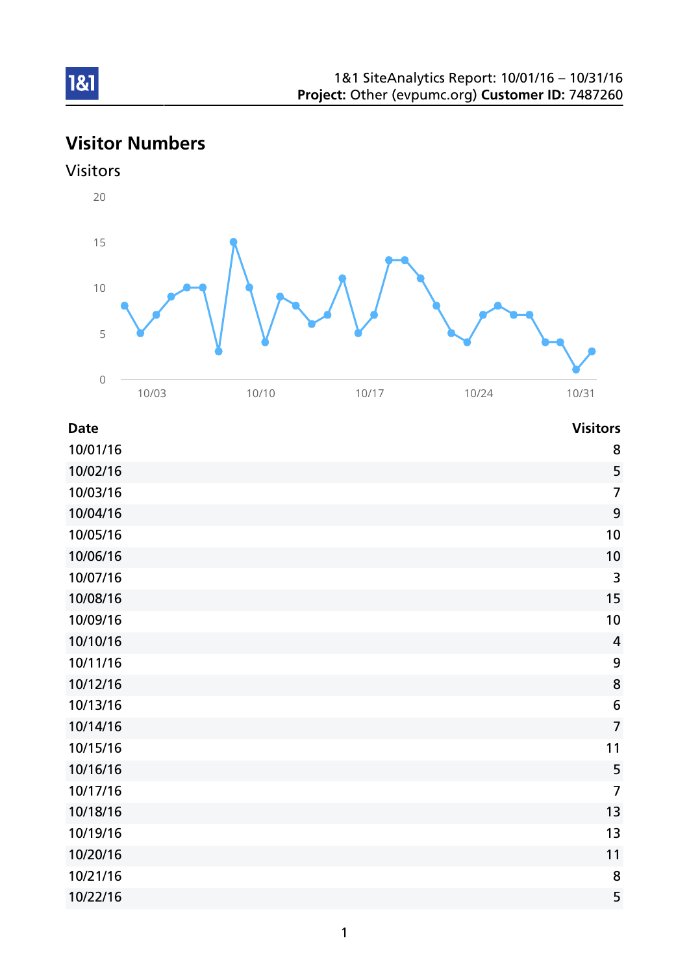# Visitor Numbers



| <b>Date</b> | <b>Visitors</b>         |
|-------------|-------------------------|
| 10/01/16    | 8                       |
| 10/02/16    | 5                       |
| 10/03/16    | $\overline{7}$          |
| 10/04/16    | $\boldsymbol{9}$        |
| 10/05/16    | 10                      |
| 10/06/16    | 10                      |
| 10/07/16    | $\mathsf{3}$            |
| 10/08/16    | 15                      |
| 10/09/16    | 10                      |
| 10/10/16    | $\overline{\mathbf{4}}$ |
| 10/11/16    | $\boldsymbol{9}$        |
| 10/12/16    | $\bf 8$                 |
| 10/13/16    | $\boldsymbol{6}$        |
| 10/14/16    | $\overline{7}$          |
| 10/15/16    | 11                      |
| 10/16/16    | 5                       |
| 10/17/16    | $\overline{7}$          |
| 10/18/16    | 13                      |
| 10/19/16    | 13                      |
| 10/20/16    | 11                      |
| 10/21/16    | 8                       |
| 10/22/16    | 5                       |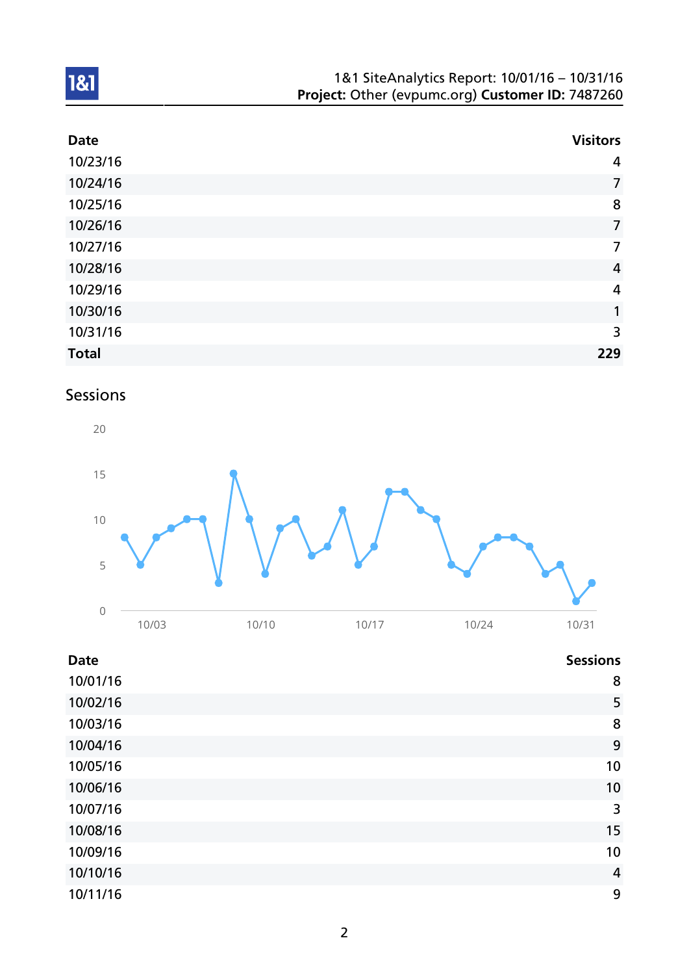| 1&1 SiteAnalytics Report: 10/01/16 - 10/31/16    |
|--------------------------------------------------|
| Project: Other (evpumc.org) Customer ID: 7487260 |

| <b>Date</b>  | <b>Visitors</b> |
|--------------|-----------------|
| 10/23/16     | 4               |
| 10/24/16     | $\overline{7}$  |
| 10/25/16     | 8               |
| 10/26/16     | $\overline{7}$  |
| 10/27/16     | $\overline{7}$  |
| 10/28/16     | $\overline{4}$  |
| 10/29/16     | $\overline{a}$  |
| 10/30/16     | 1               |
| 10/31/16     | 3               |
| <b>Total</b> | 229             |

# Sessions



| <b>Date</b> | <b>Sessions</b> |
|-------------|-----------------|
| 10/01/16    | 8               |
| 10/02/16    | 5               |
| 10/03/16    | 8               |
| 10/04/16    | 9               |
| 10/05/16    | 10              |
| 10/06/16    | 10              |
| 10/07/16    | 3               |
| 10/08/16    | 15              |
| 10/09/16    | 10              |
| 10/10/16    | $\overline{4}$  |
| 10/11/16    | 9               |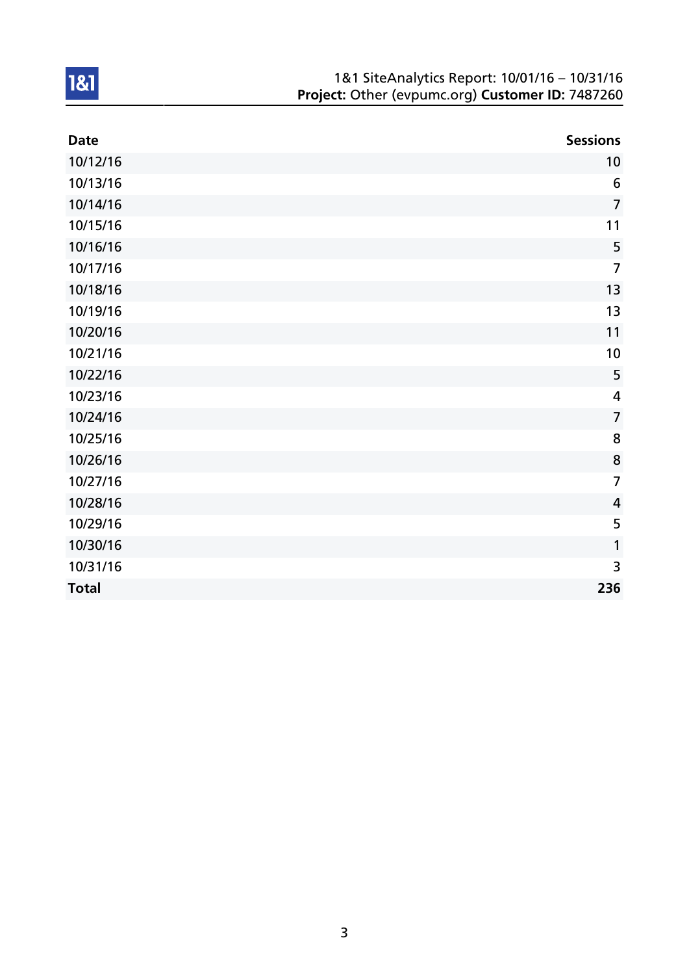| 1&1 SiteAnalytics Report: 10/01/16 - 10/31/16    |
|--------------------------------------------------|
| Project: Other (evpumc.org) Customer ID: 7487260 |

| <b>Date</b>  | <b>Sessions</b> |
|--------------|-----------------|
| 10/12/16     | 10              |
| 10/13/16     | $6\phantom{1}6$ |
| 10/14/16     | $\overline{7}$  |
| 10/15/16     | 11              |
| 10/16/16     | 5               |
| 10/17/16     | $\overline{7}$  |
| 10/18/16     | 13              |
| 10/19/16     | 13              |
| 10/20/16     | 11              |
| 10/21/16     | 10              |
| 10/22/16     | 5               |
| 10/23/16     | 4               |
| 10/24/16     | $\overline{7}$  |
| 10/25/16     | 8               |
| 10/26/16     | 8               |
| 10/27/16     | $\overline{7}$  |
| 10/28/16     | $\overline{4}$  |
| 10/29/16     | 5               |
| 10/30/16     | 1               |
| 10/31/16     | 3               |
| <b>Total</b> | 236             |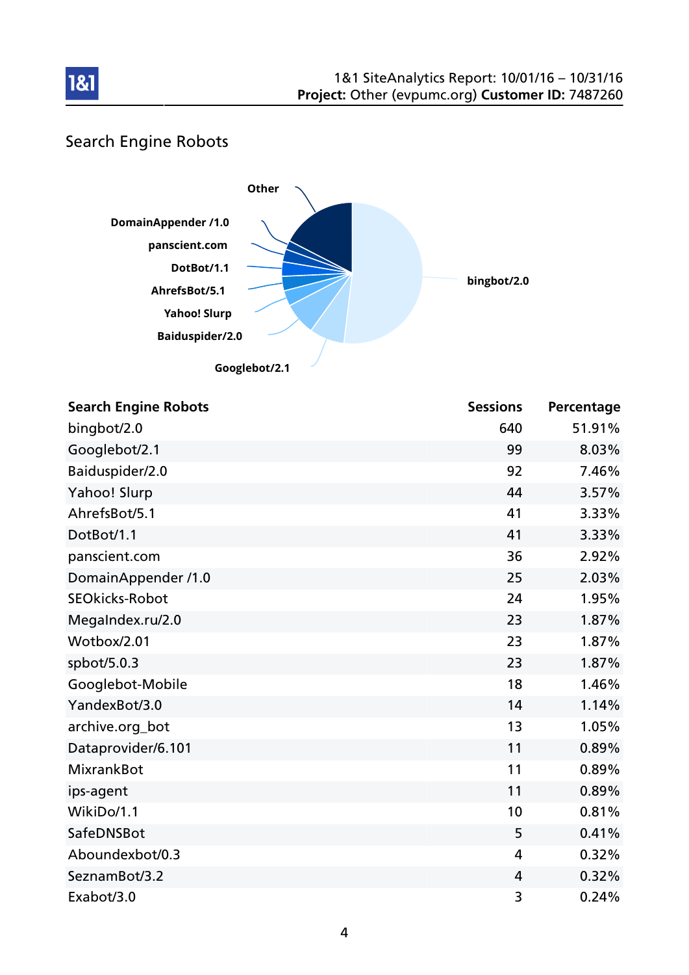

# Search Engine Robots



| <b>Search Engine Robots</b> | <b>Sessions</b> | Percentage |
|-----------------------------|-----------------|------------|
| bingbot/2.0                 | 640             | 51.91%     |
| Googlebot/2.1               | 99              | 8.03%      |
| Baiduspider/2.0             | 92              | 7.46%      |
| Yahoo! Slurp                | 44              | 3.57%      |
| AhrefsBot/5.1               | 41              | 3.33%      |
| DotBot/1.1                  | 41              | 3.33%      |
| panscient.com               | 36              | 2.92%      |
| DomainAppender /1.0         | 25              | 2.03%      |
| <b>SEOkicks-Robot</b>       | 24              | 1.95%      |
| MegaIndex.ru/2.0            | 23              | 1.87%      |
| Wotbox/2.01                 | 23              | 1.87%      |
| spbot/5.0.3                 | 23              | 1.87%      |
| Googlebot-Mobile            | 18              | 1.46%      |
| YandexBot/3.0               | 14              | 1.14%      |
| archive.org_bot             | 13              | 1.05%      |
| Dataprovider/6.101          | 11              | 0.89%      |
| <b>MixrankBot</b>           | 11              | 0.89%      |
| ips-agent                   | 11              | 0.89%      |
| WikiDo/1.1                  | 10              | 0.81%      |
| SafeDNSBot                  | 5               | 0.41%      |
| Aboundexbot/0.3             | 4               | 0.32%      |
| SeznamBot/3.2               | 4               | 0.32%      |
| Exabot/3.0                  | 3               | 0.24%      |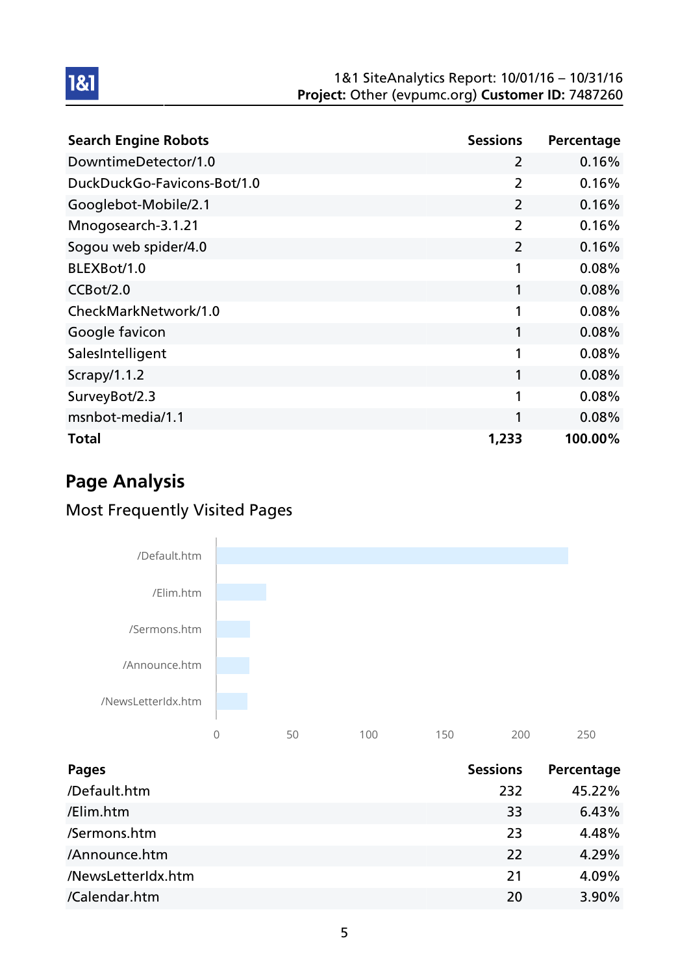#### 1&1 SiteAnalytics Report: 10/01/16 – 10/31/16 Project: Other (evpumc.org) Customer ID: 7487260

| <b>Search Engine Robots</b> | <b>Sessions</b> | Percentage |
|-----------------------------|-----------------|------------|
| DowntimeDetector/1.0        | $\overline{2}$  | 0.16%      |
| DuckDuckGo-Favicons-Bot/1.0 | $\overline{2}$  | 0.16%      |
| Googlebot-Mobile/2.1        | $\overline{2}$  | 0.16%      |
| Mnogosearch-3.1.21          | $\overline{2}$  | 0.16%      |
| Sogou web spider/4.0        | $\overline{2}$  | 0.16%      |
| BLEXBot/1.0                 | 1               | 0.08%      |
| CCBot/2.0                   | 1               | 0.08%      |
| CheckMarkNetwork/1.0        | 1               | 0.08%      |
| Google favicon              | 1               | 0.08%      |
| SalesIntelligent            | 1               | 0.08%      |
| Scrapy/1.1.2                | 1               | 0.08%      |
| SurveyBot/2.3               | 1               | 0.08%      |
| msnbot-media/1.1            | 1               | 0.08%      |
| Total                       | 1,233           | 100.00%    |

# Page Analysis

1&1

## Most Frequently Visited Pages



| <b>Pages</b>       | <b>Sessions</b> | Percentage |
|--------------------|-----------------|------------|
| /Default.htm       | 232             | 45.22%     |
| /Elim.htm          | 33              | 6.43%      |
| /Sermons.htm       | 23              | 4.48%      |
| /Announce.htm      | 22              | 4.29%      |
| /NewsLetterIdx.htm | 21              | 4.09%      |
| /Calendar.htm      | 20              | 3.90%      |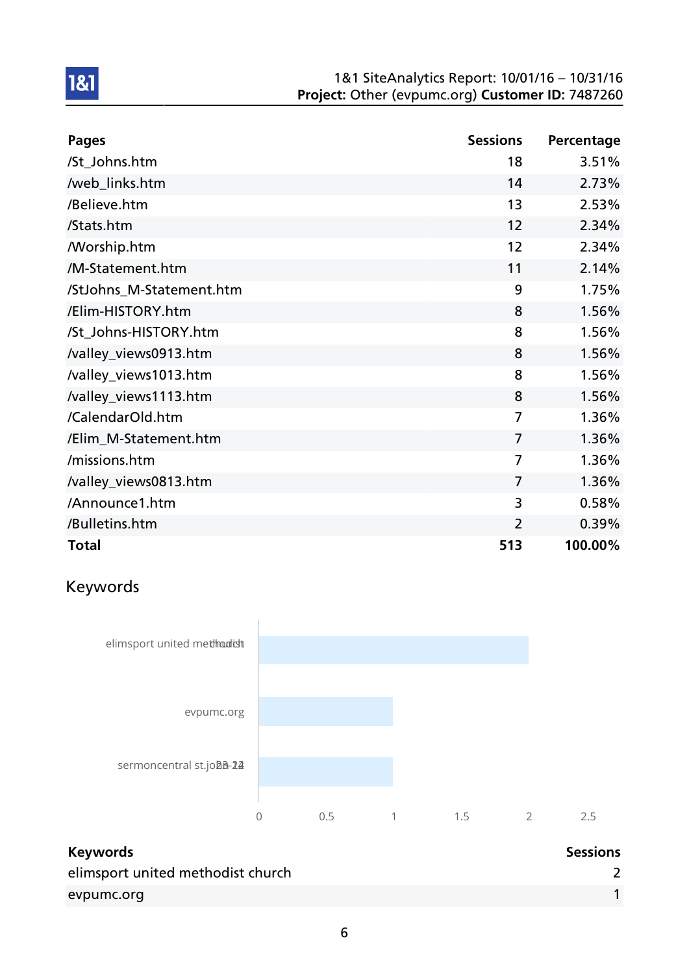#### 1&1 SiteAnalytics Report: 10/01/16 – 10/31/16 Project: Other (evpumc.org) Customer ID: 7487260

| <b>Pages</b>             | <b>Sessions</b> | Percentage |
|--------------------------|-----------------|------------|
| /St_Johns.htm            | 18              | 3.51%      |
| /web_links.htm           | 14              | 2.73%      |
| /Believe.htm             | 13              | 2.53%      |
| /Stats.htm               | 12              | 2.34%      |
| <b>Morship.htm</b>       | 12              | 2.34%      |
| /M-Statement.htm         | 11              | 2.14%      |
| /StJohns_M-Statement.htm | 9               | 1.75%      |
| /Elim-HISTORY.htm        | 8               | 1.56%      |
| /St_Johns-HISTORY.htm    | 8               | 1.56%      |
| /valley_views0913.htm    | 8               | 1.56%      |
| /valley_views1013.htm    | 8               | 1.56%      |
| /valley_views1113.htm    | 8               | 1.56%      |
| /CalendarOld.htm         | 7               | 1.36%      |
| /Elim_M-Statement.htm    | $\overline{7}$  | 1.36%      |
| /missions.htm            | $\overline{7}$  | 1.36%      |
| /valley_views0813.htm    | $\overline{7}$  | 1.36%      |
| /Announce1.htm           | 3               | 0.58%      |
| /Bulletins.htm           | $\overline{2}$  | 0.39%      |
| <b>Total</b>             | 513             | 100.00%    |

# Keywords



| <b>Keywords</b>                   | <b>Sessions</b> |
|-----------------------------------|-----------------|
| elimsport united methodist church |                 |
| evpumc.org                        |                 |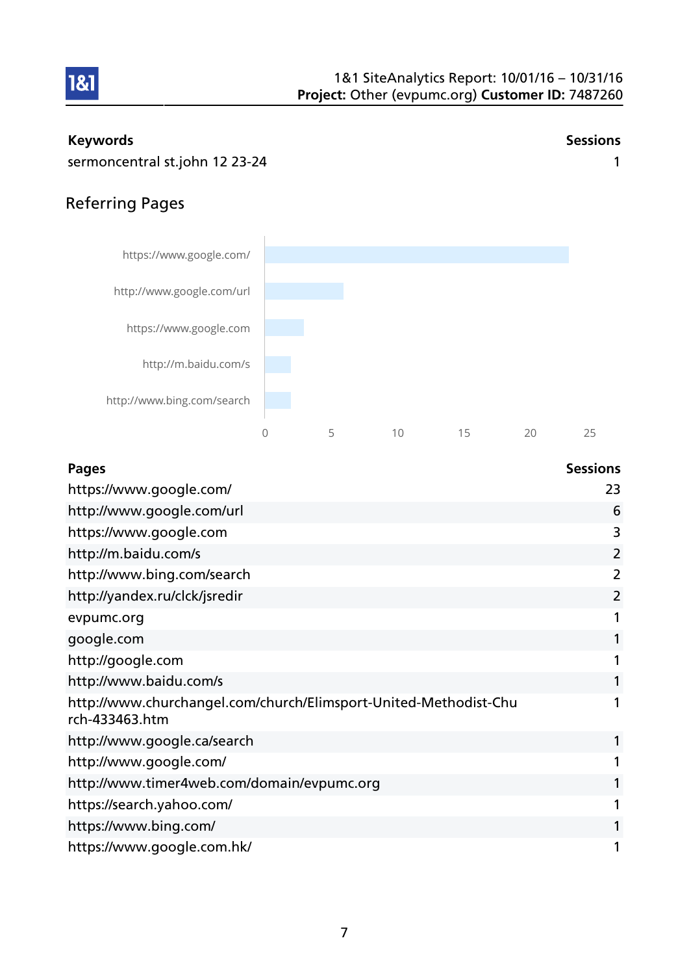

#### Keywords **Sessions**

1&1

sermoncentral st.john 12 23-24 1

## Referring Pages



| <b>Pages</b>                                                                       | <b>Sessions</b> |
|------------------------------------------------------------------------------------|-----------------|
| https://www.google.com/                                                            | 23              |
| http://www.google.com/url                                                          | 6               |
| https://www.google.com                                                             | 3               |
| http://m.baidu.com/s                                                               | 2               |
| http://www.bing.com/search                                                         | 2               |
| http://yandex.ru/clck/jsredir                                                      | 2               |
| evpumc.org                                                                         |                 |
| google.com                                                                         |                 |
| http://google.com                                                                  |                 |
| http://www.baidu.com/s                                                             |                 |
| http://www.churchangel.com/church/Elimsport-United-Methodist-Chu<br>rch-433463.htm |                 |
| http://www.google.ca/search                                                        |                 |
| http://www.google.com/                                                             |                 |
| http://www.timer4web.com/domain/evpumc.org                                         |                 |
| https://search.yahoo.com/                                                          |                 |
| https://www.bing.com/                                                              |                 |
| https://www.google.com.hk/                                                         |                 |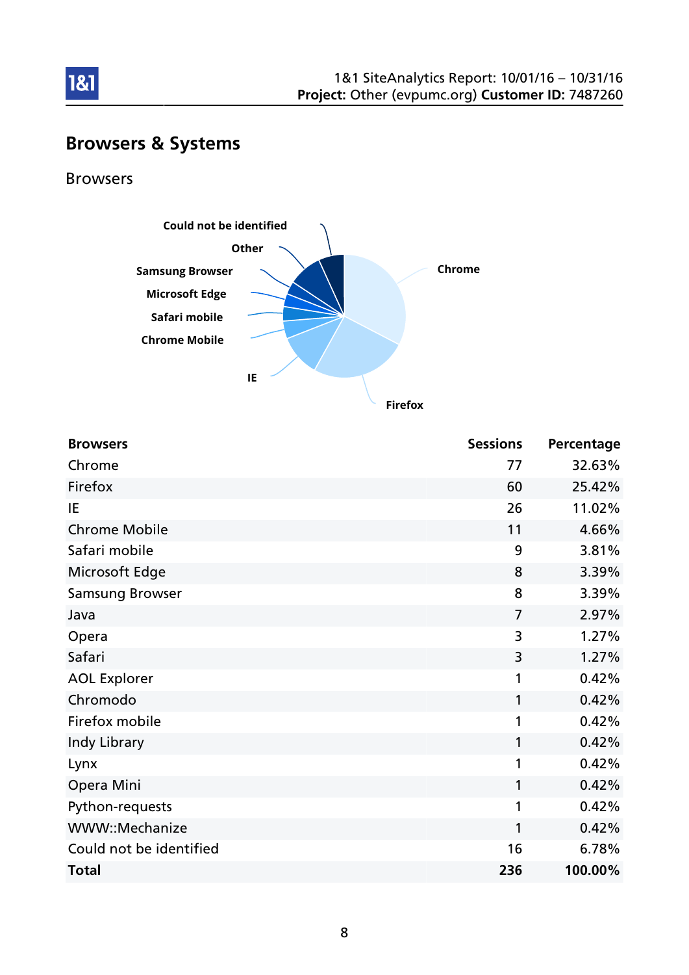

# Browsers & Systems

Browsers

1&1



**Firefox**

| <b>Browsers</b>         | <b>Sessions</b> | Percentage |
|-------------------------|-----------------|------------|
| Chrome                  | 77              | 32.63%     |
| Firefox                 | 60              | 25.42%     |
| IE                      | 26              | 11.02%     |
| <b>Chrome Mobile</b>    | 11              | 4.66%      |
| Safari mobile           | 9               | 3.81%      |
| Microsoft Edge          | 8               | 3.39%      |
| <b>Samsung Browser</b>  | 8               | 3.39%      |
| Java                    | $\overline{7}$  | 2.97%      |
| Opera                   | 3               | 1.27%      |
| Safari                  | 3               | 1.27%      |
| <b>AOL Explorer</b>     | 1               | 0.42%      |
| Chromodo                | 1               | 0.42%      |
| Firefox mobile          | 1               | 0.42%      |
| Indy Library            | 1               | 0.42%      |
| Lynx                    | 1               | 0.42%      |
| Opera Mini              | 1               | 0.42%      |
| Python-requests         | 1               | 0.42%      |
| WWW::Mechanize          | 1               | 0.42%      |
| Could not be identified | 16              | 6.78%      |
| <b>Total</b>            | 236             | 100.00%    |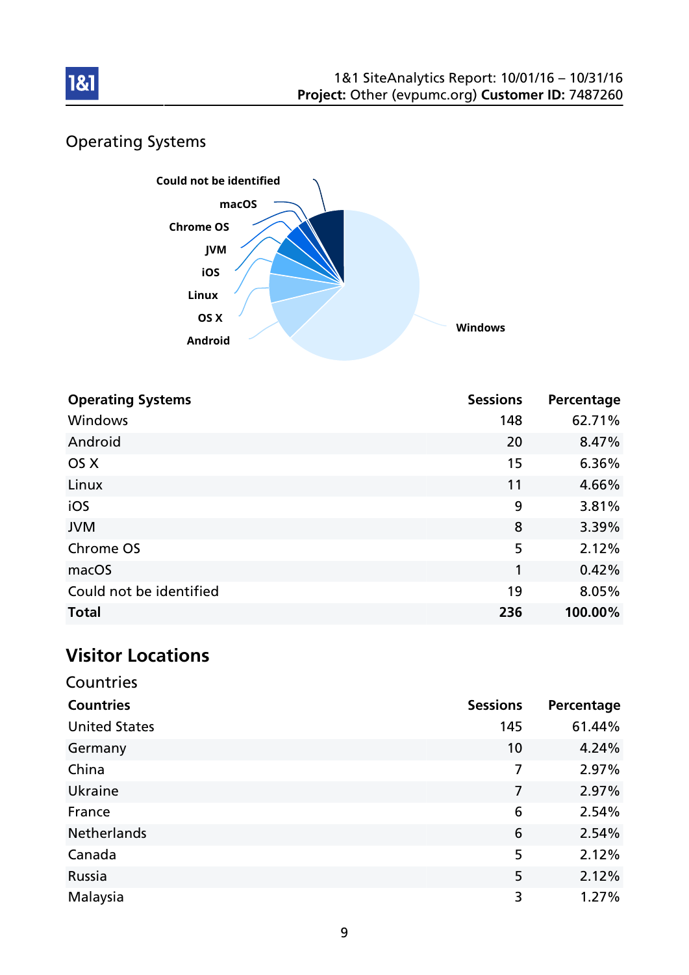

# Operating Systems



| <b>Operating Systems</b> | <b>Sessions</b> | Percentage |
|--------------------------|-----------------|------------|
| Windows                  | 148             | 62.71%     |
| Android                  | 20              | 8.47%      |
| OS X                     | 15              | 6.36%      |
| Linux                    | 11              | 4.66%      |
| iOS                      | 9               | 3.81%      |
| <b>JVM</b>               | 8               | 3.39%      |
| Chrome OS                | 5               | 2.12%      |
| macOS                    | 1               | 0.42%      |
| Could not be identified  | 19              | 8.05%      |
| <b>Total</b>             | 236             | 100.00%    |

## Visitor Locations

| Countries            |                 |            |  |
|----------------------|-----------------|------------|--|
| <b>Countries</b>     | <b>Sessions</b> | Percentage |  |
| <b>United States</b> | 145             | 61.44%     |  |
| Germany              | 10              | 4.24%      |  |
| China                | 7               | 2.97%      |  |
| Ukraine              | 7               | 2.97%      |  |
| France               | 6               | 2.54%      |  |
| Netherlands          | 6               | 2.54%      |  |
| Canada               | 5               | 2.12%      |  |
| Russia               | 5               | 2.12%      |  |
| Malaysia             | 3               | 1.27%      |  |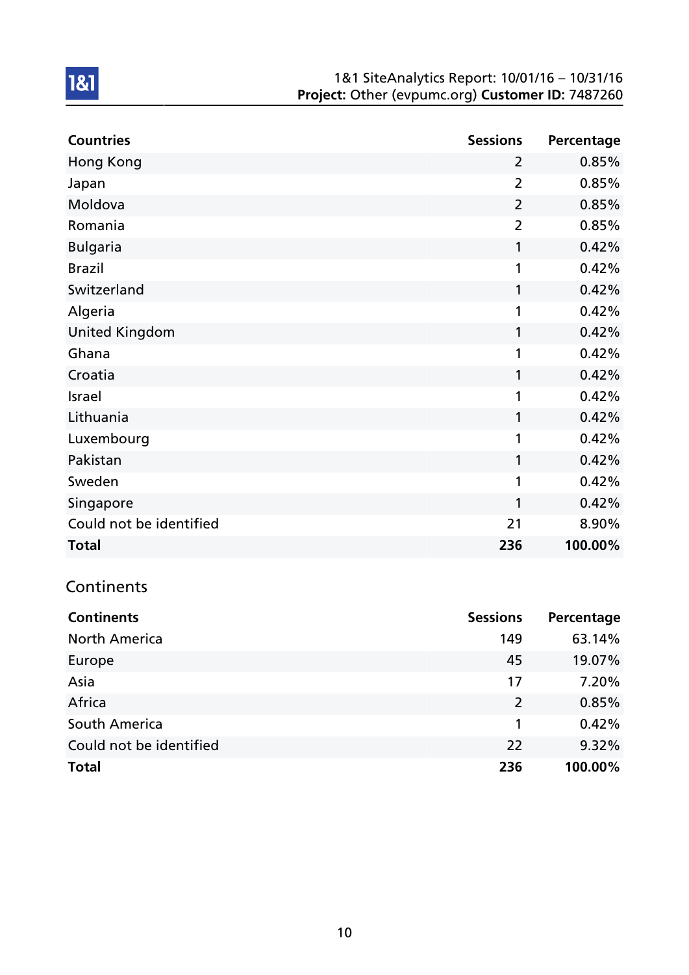#### 1&1 SiteAnalytics Report: 10/01/16 – 10/31/16 Project: Other (evpumc.org) Customer ID: 7487260

| <b>Countries</b>        | <b>Sessions</b> | Percentage |
|-------------------------|-----------------|------------|
| <b>Hong Kong</b>        | $\overline{2}$  | 0.85%      |
| Japan                   | $\overline{2}$  | 0.85%      |
| Moldova                 | $\overline{2}$  | 0.85%      |
| Romania                 | $\overline{2}$  | 0.85%      |
| <b>Bulgaria</b>         | 1               | 0.42%      |
| <b>Brazil</b>           | 1               | 0.42%      |
| Switzerland             | 1               | 0.42%      |
| Algeria                 | 1               | 0.42%      |
| <b>United Kingdom</b>   | 1               | 0.42%      |
| Ghana                   | 1               | 0.42%      |
| Croatia                 | 1               | 0.42%      |
| Israel                  | 1               | 0.42%      |
| Lithuania               | 1               | 0.42%      |
| Luxembourg              | 1               | 0.42%      |
| Pakistan                | 1               | 0.42%      |
| Sweden                  | 1               | 0.42%      |
| Singapore               | 1               | 0.42%      |
| Could not be identified | 21              | 8.90%      |
| <b>Total</b>            | 236             | 100.00%    |

# **Continents**

| <b>Continents</b>       | <b>Sessions</b> | Percentage |
|-------------------------|-----------------|------------|
| <b>North America</b>    | 149             | 63.14%     |
| Europe                  | 45              | 19.07%     |
| Asia                    | 17              | 7.20%      |
| Africa                  | $\overline{2}$  | 0.85%      |
| South America           |                 | 0.42%      |
| Could not be identified | 22              | 9.32%      |
| <b>Total</b>            | 236             | 100.00%    |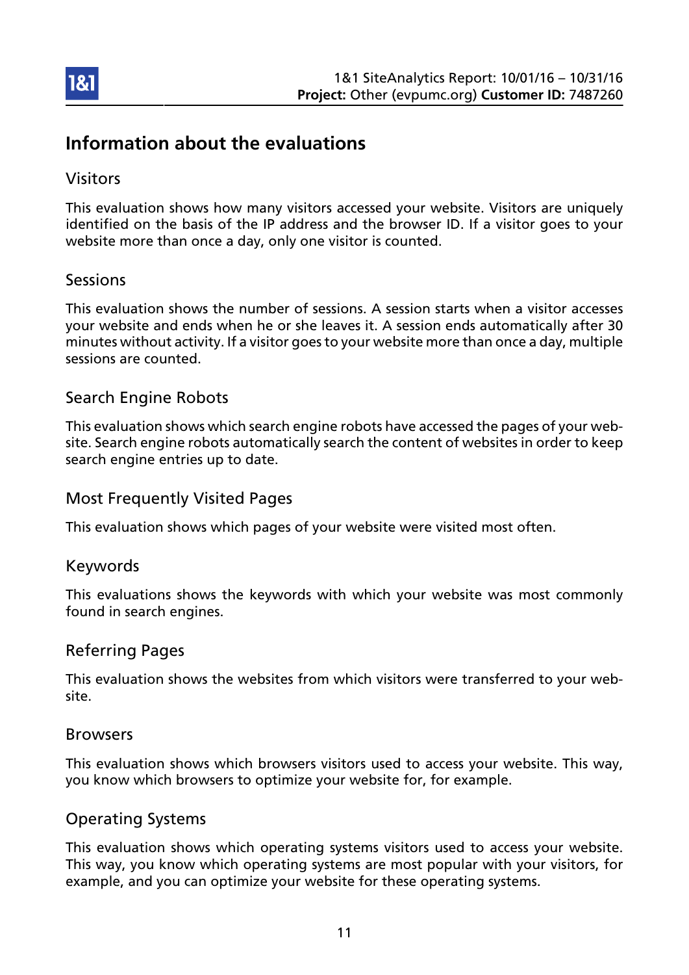

## Information about the evaluations

### Visitors

This evaluation shows how many visitors accessed your website. Visitors are uniquely identified on the basis of the IP address and the browser ID. If a visitor goes to your website more than once a day, only one visitor is counted.

### Sessions

This evaluation shows the number of sessions. A session starts when a visitor accesses your website and ends when he or she leaves it. A session ends automatically after 30 minutes without activity. If a visitor goes to your website more than once a day, multiple sessions are counted.

### Search Engine Robots

This evaluation shows which search engine robots have accessed the pages of your website. Search engine robots automatically search the content of websites in order to keep search engine entries up to date.

### Most Frequently Visited Pages

This evaluation shows which pages of your website were visited most often.

#### Keywords

This evaluations shows the keywords with which your website was most commonly found in search engines.

#### Referring Pages

This evaluation shows the websites from which visitors were transferred to your website.

#### Browsers

This evaluation shows which browsers visitors used to access your website. This way, you know which browsers to optimize your website for, for example.

### Operating Systems

This evaluation shows which operating systems visitors used to access your website. This way, you know which operating systems are most popular with your visitors, for example, and you can optimize your website for these operating systems.